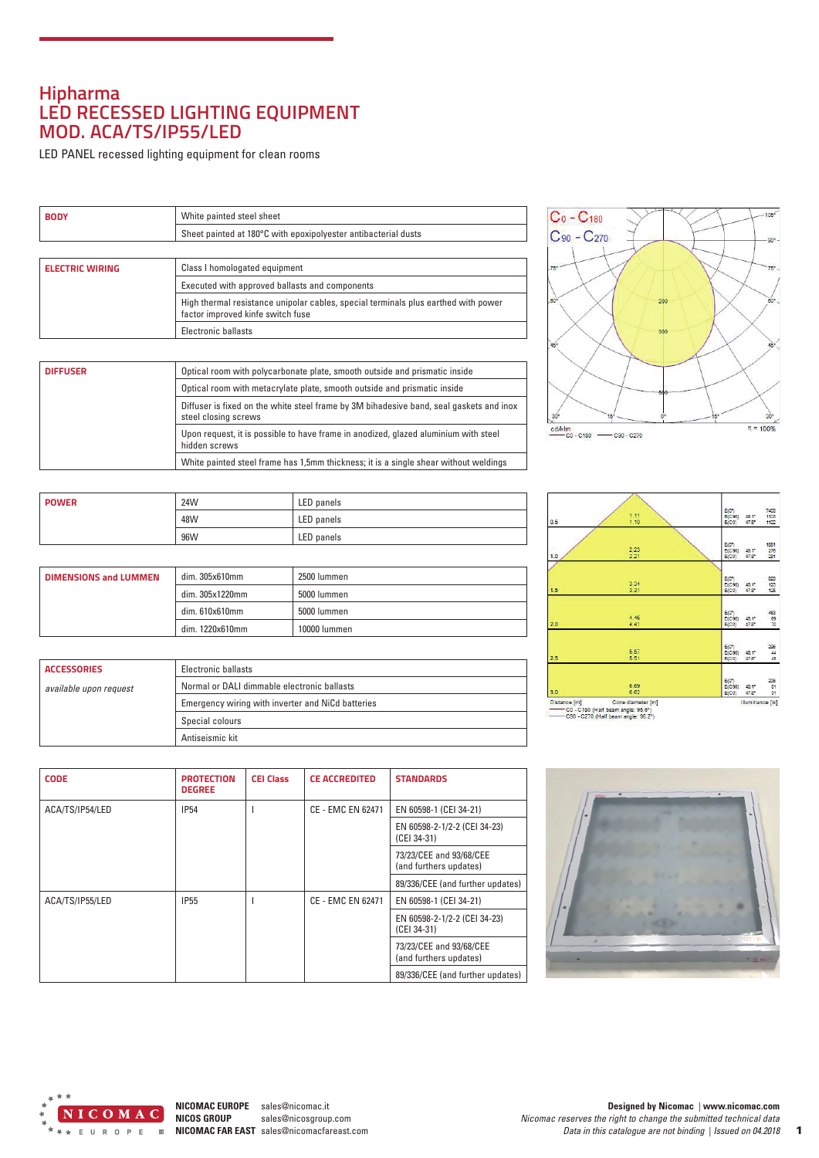## **Hipharma LED RECESSED LIGHTING EQUIPMENT MOD. ACA/TS/IP55/LED**

LED PANEL recessed lighting equipment for clean rooms

| <b>BODY</b> | White painted steel sheet                                      |
|-------------|----------------------------------------------------------------|
|             | Sheet painted at 180°C with epoxipolyester antibacterial dusts |

| <b>ELECTRIC WIRING</b> | Class I homologated equipment                                                                                           |
|------------------------|-------------------------------------------------------------------------------------------------------------------------|
|                        | Executed with approved ballasts and components                                                                          |
|                        | High thermal resistance unipolar cables, special terminals plus earthed with power<br>factor improved kinfe switch fuse |
|                        | Electronic ballasts                                                                                                     |

| <b>DIFFUSER</b> | Optical room with polycarbonate plate, smooth outside and prismatic inside                                      |
|-----------------|-----------------------------------------------------------------------------------------------------------------|
|                 | Optical room with metacrylate plate, smooth outside and prismatic inside                                        |
|                 | Diffuser is fixed on the white steel frame by 3M bihadesive band, seal gaskets and inox<br>steel closing screws |
|                 | Upon request, it is possible to have frame in anodized, glazed aluminium with steel<br>hidden screws            |
|                 | White painted steel frame has 1,5mm thickness; it is a single shear without weldings                            |

| <b>POWER</b> | 24W | LED panels |
|--------------|-----|------------|
|              | 48W | LED panels |
|              | 96W | LED panels |

| <b>DIMENSIONS and LUMMEN</b> | dim. 305x610mm  | 2500 lummen  |
|------------------------------|-----------------|--------------|
|                              | dim. 305x1220mm | 5000 lummen  |
|                              | dim. 610x610mm  | 5000 lummen  |
|                              | dim. 1220x610mm | 10000 lummen |

| <b>ACCESSORIES</b>     | Electronic ballasts                               |
|------------------------|---------------------------------------------------|
| available upon request | Normal or DALI dimmable electronic ballasts       |
|                        | Emergency wiring with inverter and NiCd batteries |
|                        | Special colours                                   |
|                        | Antiseismic kit                                   |



| 0.5 | 1.11<br>1.10 | E(0 <sup>n</sup> )<br>7403<br>1103<br>E(C90)<br>$43.1^*$<br>$47.8^{\circ}$<br>1122<br>E(C0)      |
|-----|--------------|--------------------------------------------------------------------------------------------------|
| 1.0 | 2.23<br>2.21 | E(0 <sup>n</sup> )<br>1851<br>276<br>E(C90)<br>48.1*<br>281<br>$47.8^{\circ}$<br>E(C0)           |
| 1.5 | 3.34<br>3.31 | 823<br>E(0 <sup>n</sup> )<br>$\frac{123}{125}$<br>48.1*<br>E(C90)<br>$47.8^{\circ}$<br>E(C0)     |
| 2.0 | 4.46<br>4.41 | 453<br>E(0 <sup>n</sup> )<br><b>Contract</b><br>69<br>E(C90)<br>48.1*<br>E(C0)<br>$47.8^{\circ}$ |
| 2.5 | 5.57<br>5.51 | 296<br>E(0 <sup>n</sup> )<br>$rac{44}{45}$<br>E(C90)<br>48.1"<br>47.8*<br>E(C0)                  |
| 3.0 | 6.69<br>6.62 | 206<br>E(0 <sup>n</sup> )<br>31<br>E(C90)<br>48.1*<br>$47.8^{\circ}$<br>E(C0)<br>31              |

CO - C180 (Half beam angle: 95.6°)<br>
C90 - C270 (Half beam angle: 96.2°)

| <b>CODE</b>     | <b>PROTECTION</b><br><b>DEGREE</b> | <b>CEI Class</b> | <b>CE ACCREDITED</b>     | <b>STANDARDS</b>                                  |
|-----------------|------------------------------------|------------------|--------------------------|---------------------------------------------------|
| ACA/TS/IP54/LED | <b>IP54</b>                        |                  | <b>CE - EMC EN 62471</b> | EN 60598-1 (CEI 34-21)                            |
|                 |                                    |                  |                          | EN 60598-2-1/2-2 (CEI 34-23)<br>(CEI 34-31)       |
|                 |                                    |                  |                          | 73/23/CEE and 93/68/CEE<br>(and furthers updates) |
|                 |                                    |                  |                          | 89/336/CEE (and further updates)                  |
| ACA/TS/IP55/LED | <b>IP55</b>                        |                  | CE - EMC EN 62471        | EN 60598-1 (CEI 34-21)                            |
|                 |                                    |                  |                          | EN 60598-2-1/2-2 (CEI 34-23)<br>(CEI 34-31)       |
|                 |                                    |                  |                          | 73/23/CEE and 93/68/CEE<br>(and furthers updates) |
|                 |                                    |                  |                          | 89/336/CEE (and further updates)                  |



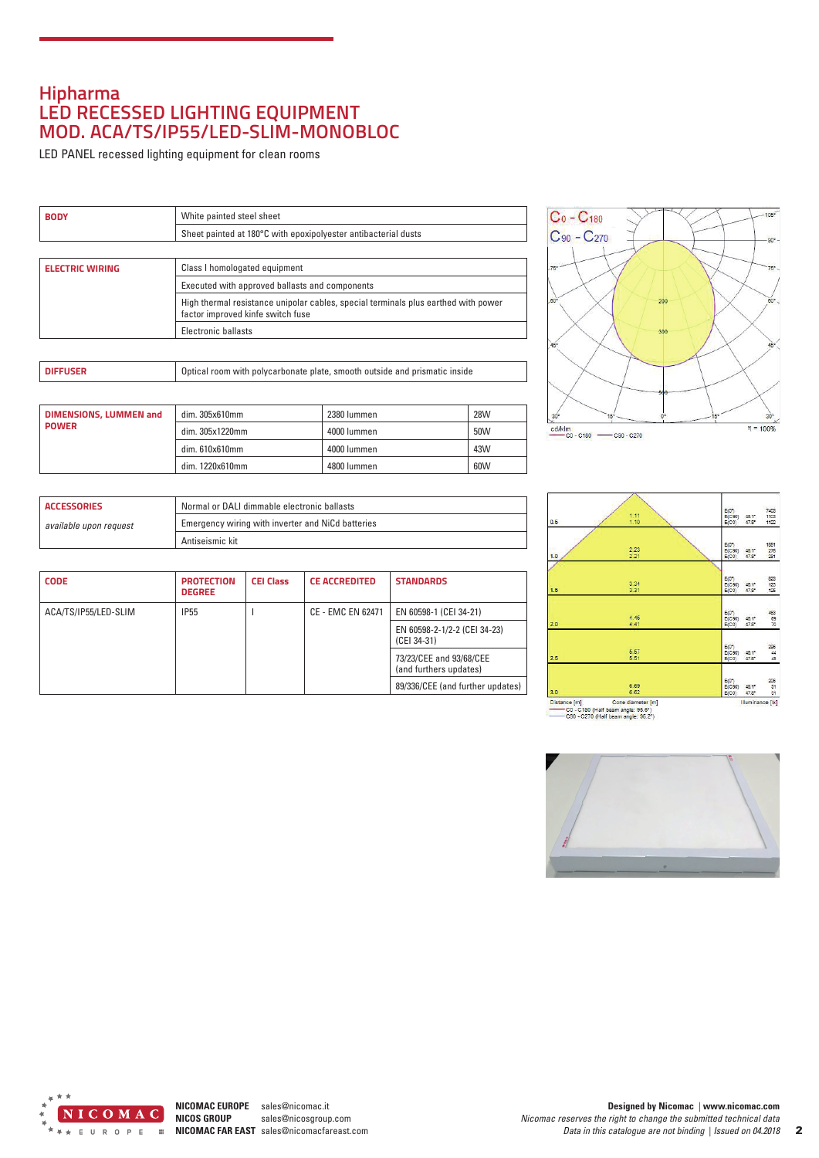## **Hipharma LED RECESSED LIGHTING EQUIPMENT MOD. ACA/TS/IP55/LED-SLIM-MONOBLOC**

LED PANEL recessed lighting equipment for clean rooms

| <b>BODY</b>            | White painted steel sheet                                                                                               |  |
|------------------------|-------------------------------------------------------------------------------------------------------------------------|--|
|                        | Sheet painted at 180°C with epoxipolyester antibacterial dusts                                                          |  |
|                        |                                                                                                                         |  |
| <b>ELECTRIC WIRING</b> | Class I homologated equipment                                                                                           |  |
|                        | Executed with approved ballasts and components                                                                          |  |
|                        | High thermal resistance unipolar cables, special terminals plus earthed with power<br>factor improved kinfe switch fuse |  |
|                        | Electronic ballasts                                                                                                     |  |
|                        |                                                                                                                         |  |

|--|

| <b>DIMENSIONS, LUMMEN and</b><br><b>POWER</b> | dim. 305x610mm  | 2380 lummen | <b>28W</b> |
|-----------------------------------------------|-----------------|-------------|------------|
|                                               | dim. 305x1220mm | 4000 lummen | 50W        |
|                                               | dim. 610x610mm  | 4000 lummen | 43W        |
|                                               | dim. 1220x610mm | 4800 lummen | 60W        |



| <b>ACCESSORIES</b>                                                          | Normal or DALI dimmable electronic ballasts |  |
|-----------------------------------------------------------------------------|---------------------------------------------|--|
| Emergency wiring with inverter and NiCd batteries<br>available upon request |                                             |  |
| Antiseismic kit                                                             |                                             |  |

| <b>CODE</b>          | <b>PROTECTION</b><br><b>DEGREE</b> | <b>CEI Class</b> | <b>CE ACCREDITED</b> | <b>STANDARDS</b>                                  |
|----------------------|------------------------------------|------------------|----------------------|---------------------------------------------------|
| ACA/TS/IP55/LED-SLIM | <b>IP55</b>                        |                  | CE - EMC EN 62471    | EN 60598-1 (CEI 34-21)                            |
|                      |                                    |                  |                      | EN 60598-2-1/2-2 (CEI 34-23)<br>(CEI 34-31)       |
|                      |                                    |                  |                      | 73/23/CEE and 93/68/CEE<br>(and furthers updates) |
|                      |                                    |                  |                      | 89/336/CEE (and further updates)                  |

| 0.5 | 1.11<br>1.10 | $E(0^{n})$<br>7403<br>1103<br>E(C90)<br>$43.1^*$<br>$47.8^{\circ}$<br>1122<br>E(C0)    |
|-----|--------------|----------------------------------------------------------------------------------------|
| 1.0 | 2.23<br>2.21 | 1851<br>$E(0^{n})$<br>276<br>281<br>E(C90)<br>48.1*<br>$47.8^{\circ}$<br>E(C0)         |
| 1.5 | 3.34<br>3.31 | 823<br>123<br>125<br>E(0 <sup>n</sup> )<br>E(C90)<br>48.1*<br>$47.8^{\circ}$<br>E(C0)  |
| 2.0 | 4.46<br>4.41 | 463<br>69<br>70<br>E(0 <sup>n</sup> )<br>E(C90)<br>$48.1^*$<br>$47.8^{\circ}$<br>E(C0) |
| 2.5 | 5.57<br>5.51 | 296<br>44<br>45<br>E(0 <sup>n</sup> )<br>E(C90)<br>$43.1^*$<br>E(C0)<br>$47.8^{\circ}$ |
| 3.0 | 6.69<br>6.62 | E(0)<br>206<br>31<br>E(C90)<br>48.1*<br>31<br>E(C0)<br>$47.8^{\circ}$                  |

CO - C180 (Half beam angle: 95.6°)<br>
C90 - C270 (Half beam angle: 96.2°)



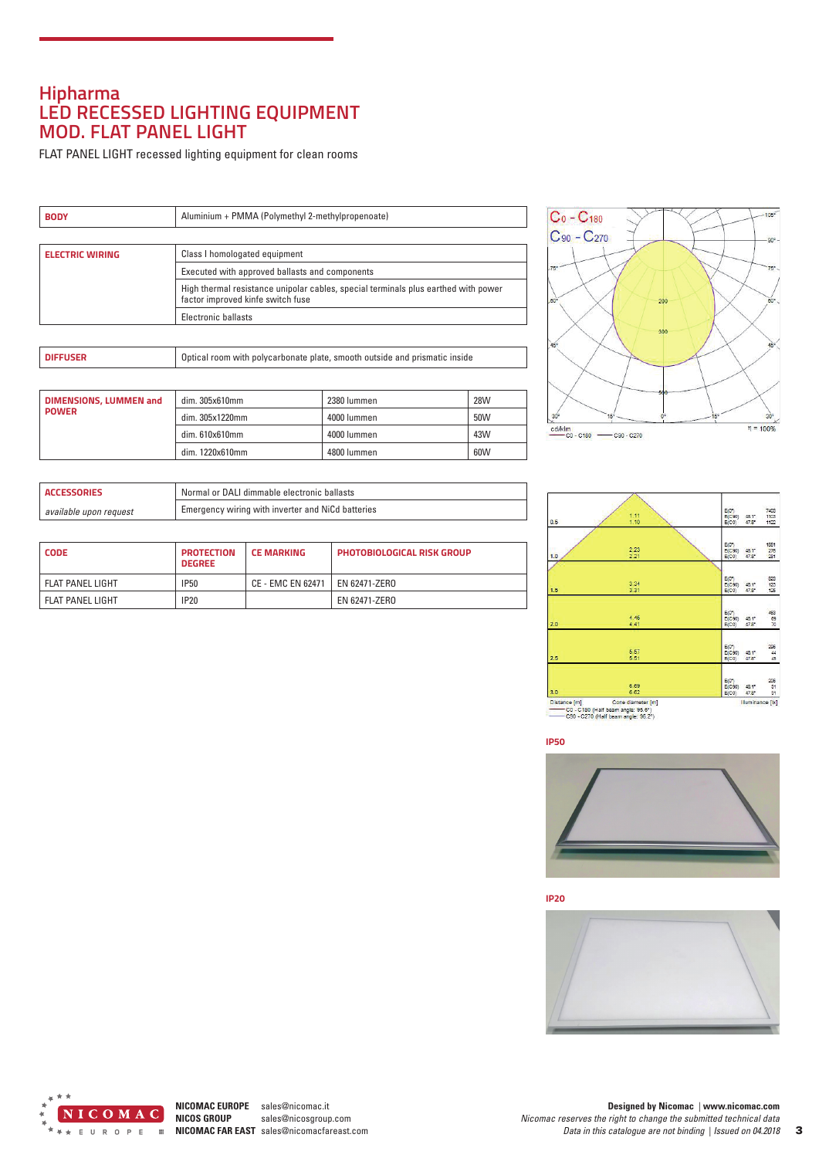## **Hipharma LED RECESSED LIGHTING EQUIPMENT MOD. FLAT PANEL LIGHT**

FLAT PANEL LIGHT recessed lighting equipment for clean rooms

| <b>BODY</b>            | Aluminium + PMMA (Polymethyl 2-methylpropenoate)                                                                        |  |
|------------------------|-------------------------------------------------------------------------------------------------------------------------|--|
|                        |                                                                                                                         |  |
| <b>ELECTRIC WIRING</b> | Class I homologated equipment                                                                                           |  |
|                        | Executed with approved ballasts and components                                                                          |  |
|                        | High thermal resistance unipolar cables, special terminals plus earthed with power<br>factor improved kinfe switch fuse |  |
|                        | Electronic ballasts                                                                                                     |  |

| <b>I</b> DIFFUSER | Optical room with polycarbonate plate, smooth outside and prismatic inside |
|-------------------|----------------------------------------------------------------------------|
|-------------------|----------------------------------------------------------------------------|

| <b>DIMENSIONS, LUMMEN and</b> | dim.305x610mm   | 2380 lummen | <b>28W</b> |
|-------------------------------|-----------------|-------------|------------|
| <b>POWER</b>                  | dim. 305x1220mm | 4000 lummen | 50W        |
|                               | dim. 610x610mm  | 4000 lummen | 43W        |
|                               | dim. 1220x610mm | 4800 lummen | 60W        |



| <b>ACCESSORIES</b>     | Normal or DALI dimmable electronic ballasts       |  |
|------------------------|---------------------------------------------------|--|
| available upon request | Emergency wiring with inverter and NiCd batteries |  |

| <b>CODE</b>        | <b>PROTECTION</b><br><b>DEGREE</b> | <b>LCE MARKING</b> | <b>PHOTOBIOLOGICAL RISK GROUP</b> |
|--------------------|------------------------------------|--------------------|-----------------------------------|
| l FLAT PANEL LIGHT | IP50                               | CE - EMC EN 62471  | EN 62471-ZERO                     |
| l FLAT PANEL LIGHT | IP20                               |                    | EN 62471-ZERO                     |

| 0.5 | 1.11<br>1.10 | 7403<br>E(0 <sup>n</sup> )<br>E(C90)<br>1103<br>$43.1^*$<br>$47.8^{\circ}$<br>1122<br>E(C0) |
|-----|--------------|---------------------------------------------------------------------------------------------|
| 1.0 | 2.23<br>2.21 | 1851<br>$E(0^{n})$<br>276<br>281<br>E(C90)<br>48.1*<br>$47.8^{\circ}$<br>E(C0)              |
| 1.5 | 3.34<br>3.31 | 823<br>123<br>125<br>E(0 <sup>n</sup> )<br>48.1*<br>E(C90)<br>$47.8^{\circ}$<br>E(C0)       |
| 2.0 | 4.46<br>4.41 | 463<br>E(0 <sup>n</sup> )<br>69<br>E(C90)<br>48.1*<br>70<br>E(C0)<br>$47.8^{\circ}$         |
| 2.5 | 5.57<br>5.51 | 296<br>44<br>45<br>E(0 <sup>n</sup> )<br>E(C90)<br>48.1*<br>E(C0)<br>47.8*                  |
| 3.0 | 6.69<br>6.62 | 206<br>E(0 <sup>n</sup> )<br>31<br>E(C90)<br>48.1*<br>$47.8^{\circ}$<br>E(C0)<br>31         |

CO - C180 (Half beam angle: 96.6°)<br>C90 - C270 (Half beam angle: 96.2°)





**IP20**